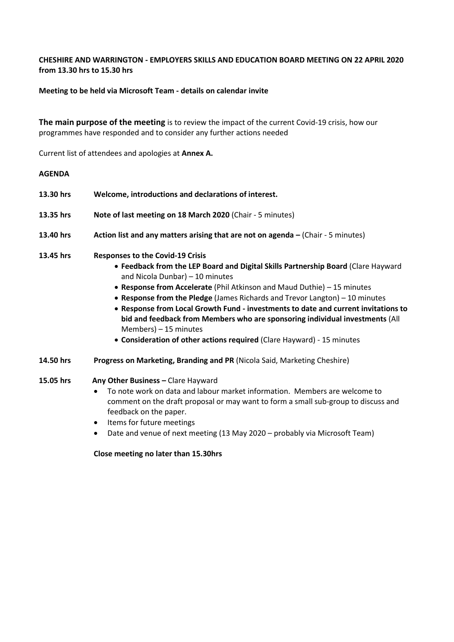## **CHESHIRE AND WARRINGTON - EMPLOYERS SKILLS AND EDUCATION BOARD MEETING ON 22 APRIL 2020 from 13.30 hrs to 15.30 hrs**

## **Meeting to be held via Microsoft Team - details on calendar invite**

**The main purpose of the meeting** is to review the impact of the current Covid-19 crisis, how our programmes have responded and to consider any further actions needed

Current list of attendees and apologies at **Annex A.**

#### **AGENDA**

| 13.30 hrs | Welcome, introductions and declarations of interest.                                                                                                                                                                                                                                                                                                                                                                                                                                                                                                                                                 |
|-----------|------------------------------------------------------------------------------------------------------------------------------------------------------------------------------------------------------------------------------------------------------------------------------------------------------------------------------------------------------------------------------------------------------------------------------------------------------------------------------------------------------------------------------------------------------------------------------------------------------|
| 13.35 hrs | Note of last meeting on 18 March 2020 (Chair - 5 minutes)                                                                                                                                                                                                                                                                                                                                                                                                                                                                                                                                            |
| 13.40 hrs | Action list and any matters arising that are not on agenda - (Chair - 5 minutes)                                                                                                                                                                                                                                                                                                                                                                                                                                                                                                                     |
| 13.45 hrs | <b>Responses to the Covid-19 Crisis</b><br>• Feedback from the LEP Board and Digital Skills Partnership Board (Clare Hayward<br>and Nicola Dunbar) - 10 minutes<br>• Response from Accelerate (Phil Atkinson and Maud Duthie) – 15 minutes<br>• Response from the Pledge (James Richards and Trevor Langton) $-10$ minutes<br>• Response from Local Growth Fund - investments to date and current invitations to<br>bid and feedback from Members who are sponsoring individual investments (All<br>Members) $-15$ minutes<br>• Consideration of other actions required (Clare Hayward) - 15 minutes |

- **14.50 hrs Progress on Marketing, Branding and PR** (Nicola Said, Marketing Cheshire)
- **15.05 hrs Any Other Business Clare Hayward** 
	- To note work on data and labour market information. Members are welcome to comment on the draft proposal or may want to form a small sub-group to discuss and feedback on the paper.
	- Items for future meetings
	- Date and venue of next meeting (13 May 2020 probably via Microsoft Team)

**Close meeting no later than 15.30hrs**